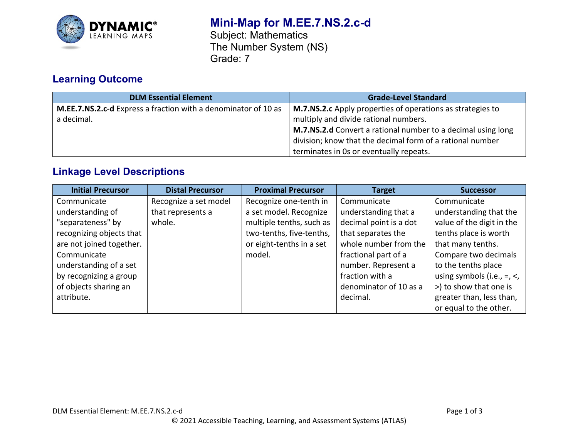

# **Mini-Map for M.EE.7.NS.2.c-d**

Subject: Mathematics The Number System (NS) Grade: 7

# **Learning Outcome**

| <b>DLM Essential Element</b>                                   | <b>Grade-Level Standard</b>                                  |
|----------------------------------------------------------------|--------------------------------------------------------------|
| M.EE.7.NS.2.c-d Express a fraction with a denominator of 10 as | M.7.NS.2.c Apply properties of operations as strategies to   |
| a decimal.                                                     | multiply and divide rational numbers.                        |
|                                                                | M.7.NS.2.d Convert a rational number to a decimal using long |
|                                                                | division; know that the decimal form of a rational number    |
|                                                                | terminates in 0s or eventually repeats.                      |

# **Linkage Level Descriptions**

| <b>Initial Precursor</b> | <b>Distal Precursor</b> | <b>Proximal Precursor</b> | <b>Target</b>          | <b>Successor</b>                   |
|--------------------------|-------------------------|---------------------------|------------------------|------------------------------------|
| Communicate              | Recognize a set model   | Recognize one-tenth in    | Communicate            | Communicate                        |
| understanding of         | that represents a       | a set model. Recognize    | understanding that a   | understanding that the             |
| "separateness" by        | whole.                  | multiple tenths, such as  | decimal point is a dot | value of the digit in the          |
| recognizing objects that |                         | two-tenths, five-tenths,  | that separates the     | tenths place is worth              |
| are not joined together. |                         | or eight-tenths in a set  | whole number from the  | that many tenths.                  |
| Communicate              |                         | model.                    | fractional part of a   | Compare two decimals               |
| understanding of a set   |                         |                           | number. Represent a    | to the tenths place                |
| by recognizing a group   |                         |                           | fraction with a        | using symbols (i.e., $=$ , $\lt$ , |
| of objects sharing an    |                         |                           | denominator of 10 as a | >) to show that one is             |
| attribute.               |                         |                           | decimal.               | greater than, less than,           |
|                          |                         |                           |                        | or equal to the other.             |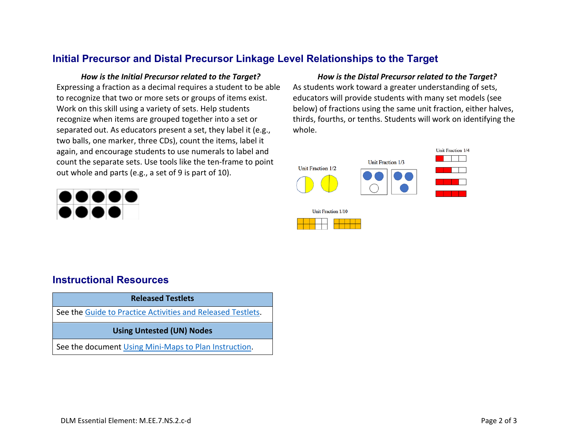## **Initial Precursor and Distal Precursor Linkage Level Relationships to the Target**

Expressing a fraction as a decimal requires a student to be able to recognize that two or more sets or groups of items exist. Work on this skill using a variety of sets. Help students recognize when items are grouped together into a set or separated out. As educators present a set, they label it (e.g., two balls, one marker, three CDs), count the items, label it again, and encourage students to use numerals to label and count the separate sets. Use tools like the ten-frame to point out whole and parts (e.g., a set of 9 is part of 10).



### *How is the Initial Precursor related to the Target? How is the Distal Precursor related to the Target?* As students work toward a greater understanding of sets, educators will provide students with many set models (see below) of fractions using the same unit fraction, either halves, thirds, fourths, or tenths. Students will work on identifying the whole.



## **Instructional Resources**

#### **Released Testlets**

See the [Guide to Practice Activities and Released Testlets.](https://dynamiclearningmaps.org/sites/default/files/documents/Manuals_Blueprints/Guide_to_Practice_Activities_and_Released_Testlets.pdf)

#### **Using Untested (UN) Nodes**

See the document [Using Mini-Maps to Plan Instruction.](https://dynamiclearningmaps.org/sites/default/files/documents/Using_Mini_Maps_to_Plan_Instruction.pdf)